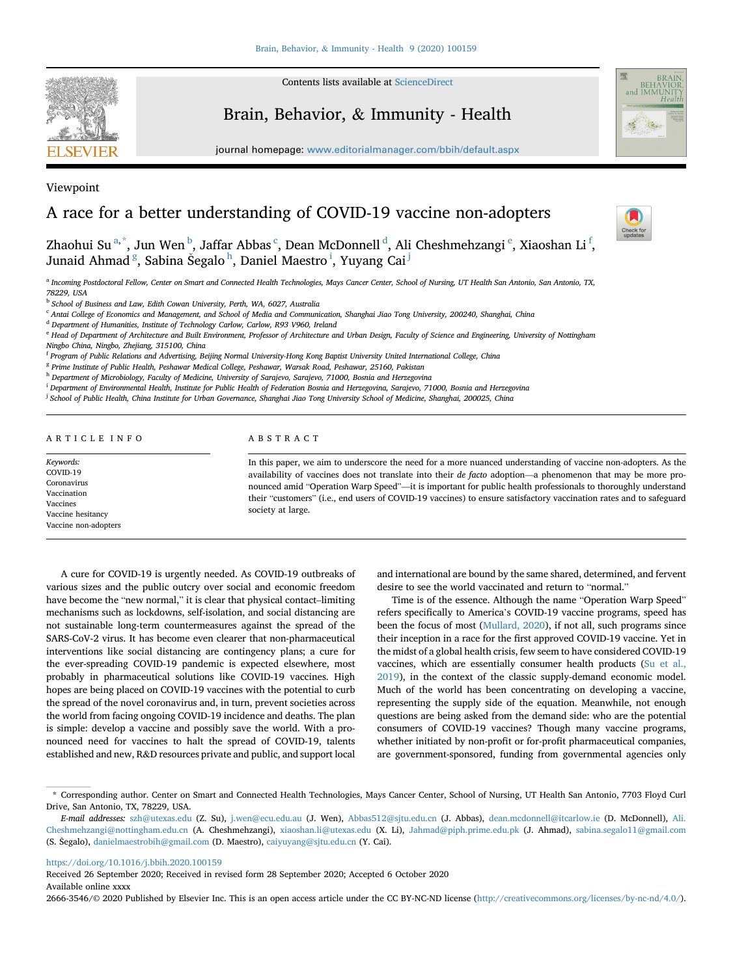

Contents lists available at [ScienceDirect](www.sciencedirect.com/science/journal/26663546)

# Brain, Behavior, & Immunity - Health



journal homepage: <www.editorialmanager.com/bbih/default.aspx>

# Viewpoint

# A race for a better understanding of COVID-19 vaccine non-adopters



Zh[a](#page-0-0)ohui Su $^{\rm a, *},$  $^{\rm a, *},$  $^{\rm a, *},$  Jun W[e](#page-0-5)n $^{\rm b}$  $^{\rm b}$  $^{\rm b}$ , Ja[f](#page-0-6)far Abbas  $^{\rm c}$  $^{\rm c}$  $^{\rm c}$ , Dean McDonnell  $^{\rm d}$  $^{\rm d}$  $^{\rm d}$ , Ali Cheshmehzangi  $^{\rm e}$ , Xiaoshan Li  $^{\rm f}$ , Junaid Ahmad <sup>[g](#page-0-7)</sup>, Sabina Šegalo <sup>[h](#page-0-8)</sup>, Dan[i](#page-0-9)el Maestro <sup>i</sup>, Yuyang Cai <sup>[j](#page-0-10)</sup>

<span id="page-0-0"></span>a Incoming Postdoctoral Fellow, Center on Smart and Connected Health Technologies, Mays Cancer Center, School of Nursing, UT Health San Antonio, San Antonio, TX, 78229, USA

<span id="page-0-2"></span> $^{\rm b}$  School of Business and Law, Edith Cowan University, Perth, WA, 6027, Australia

<span id="page-0-3"></span><sup>c</sup> Antai College of Economics and Management, and School of Media and Communication, Shanghai Jiao Tong University, 200240, Shanghai, China

<span id="page-0-4"></span><sup>d</sup> Department of Humanities, Institute of Technology Carlow, Carlow, R93 V960, Ireland

<span id="page-0-5"></span><sup>e</sup> Head of Department of Architecture and Built Environment, Professor of Architecture and Urban Design, Faculty of Science and Engineering, University of Nottingham Ningbo China, Ningbo, Zhejiang, 315100, China

<span id="page-0-6"></span><sup>f</sup> Program of Public Relations and Advertising, Beijing Normal University-Hong Kong Baptist University United International College, China

<span id="page-0-7"></span><sup>g</sup> Prime Institute of Public Health, Peshawar Medical College, Peshawar, Warsak Road, Peshawar, 25160, Pakistan

<span id="page-0-8"></span>h Department of Microbiology, Faculty of Medicine, University of Sarajevo, Sarajevo, 71000, Bosnia and Herzegovina

<span id="page-0-9"></span><sup>i</sup> Department of Environmental Health, Institute for Public Health of Federation Bosnia and Herzegovina, Sarajevo, 71000, Bosnia and Herzegovina

<span id="page-0-10"></span><sup>j</sup> School of Public Health, China Institute for Urban Governance, Shanghai Jiao Tong University School of Medicine, Shanghai, 200025, China

ARTICLE INFO

Keywords: COVID-19 Coronavirus Vaccination Vaccines Vaccine hesitancy Vaccine non-adopters

### ABSTRACT

In this paper, we aim to underscore the need for a more nuanced understanding of vaccine non-adopters. As the availability of vaccines does not translate into their de facto adoption—a phenomenon that may be more pronounced amid "Operation Warp Speed"—it is important for public health professionals to thoroughly understand their "customers" (i.e., end users of COVID-19 vaccines) to ensure satisfactory vaccination rates and to safeguard society at large.

A cure for COVID-19 is urgently needed. As COVID-19 outbreaks of various sizes and the public outcry over social and economic freedom have become the "new normal," it is clear that physical contact–limiting mechanisms such as lockdowns, self-isolation, and social distancing are not sustainable long-term countermeasures against the spread of the SARS-CoV-2 virus. It has become even clearer that non-pharmaceutical interventions like social distancing are contingency plans; a cure for the ever-spreading COVID-19 pandemic is expected elsewhere, most probably in pharmaceutical solutions like COVID-19 vaccines. High hopes are being placed on COVID-19 vaccines with the potential to curb the spread of the novel coronavirus and, in turn, prevent societies across the world from facing ongoing COVID-19 incidence and deaths. The plan is simple: develop a vaccine and possibly save the world. With a pronounced need for vaccines to halt the spread of COVID-19, talents established and new, R&D resources private and public, and support local

and international are bound by the same shared, determined, and fervent desire to see the world vaccinated and return to "normal."

Time is of the essence. Although the name "Operation Warp Speed" refers specifically to America's COVID-19 vaccine programs, speed has been the focus of most ([Mullard, 2020\)](#page-2-0), if not all, such programs since their inception in a race for the first approved COVID-19 vaccine. Yet in the midst of a global health crisis, few seem to have considered COVID-19 vaccines, which are essentially consumer health products ([Su et al.,](#page-2-1) [2019\)](#page-2-1), in the context of the classic supply-demand economic model. Much of the world has been concentrating on developing a vaccine, representing the supply side of the equation. Meanwhile, not enough questions are being asked from the demand side: who are the potential consumers of COVID-19 vaccines? Though many vaccine programs, whether initiated by non-profit or for-profit pharmaceutical companies, are government-sponsored, funding from governmental agencies only

### <https://doi.org/10.1016/j.bbih.2020.100159>

Received 26 September 2020; Received in revised form 28 September 2020; Accepted 6 October 2020 Available online xxxx

2666-3546/© 2020 Published by Elsevier Inc. This is an open access article under the CC BY-NC-ND license (<http://creativecommons.org/licenses/by-nc-nd/4.0/>).

<span id="page-0-1"></span><sup>\*</sup> Corresponding author. Center on Smart and Connected Health Technologies, Mays Cancer Center, School of Nursing, UT Health San Antonio, 7703 Floyd Curl Drive, San Antonio, TX, 78229, USA.

E-mail addresses: [szh@utexas.edu](mailto:szh@utexas.edu) (Z. Su), [j.wen@ecu.edu.au](mailto:j.wen@ecu.edu.au) (J. Wen), [Abbas512@sjtu.edu.cn](mailto:Abbas512@sjtu.edu.cn) (J. Abbas), [dean.mcdonnell@itcarlow.ie](mailto:dean.mcdonnell@itcarlow.ie) (D. McDonnell), [Ali.](mailto:Ali.Cheshmehzangi@nottingham.edu.cn) [Cheshmehzangi@nottingham.edu.cn](mailto:Ali.Cheshmehzangi@nottingham.edu.cn) (A. Cheshmehzangi), [xiaoshan.li@utexas.edu](mailto:xiaoshan.li@utexas.edu) (X. Li), [Jahmad@piph.prime.edu.pk](mailto:Jahmad@piph.prime.edu.pk) (J. Ahmad), [sabina.segalo11@gmail.com](mailto:sabina.segalo11@gmail.com) (S. Segalo), [danielmaestrobih@gmail.com](mailto:danielmaestrobih@gmail.com) (D. Maestro), [caiyuyang@sjtu.edu.cn](mailto:caiyuyang@sjtu.edu.cn) (Y. Cai).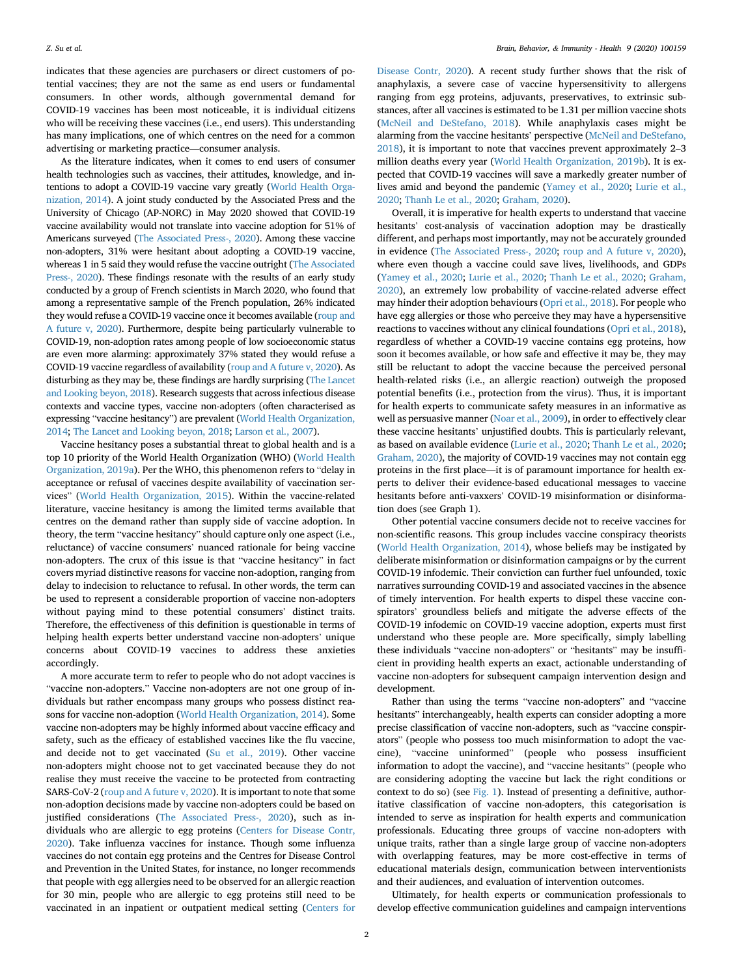indicates that these agencies are purchasers or direct customers of potential vaccines; they are not the same as end users or fundamental consumers. In other words, although governmental demand for COVID-19 vaccines has been most noticeable, it is individual citizens who will be receiving these vaccines (i.e., end users). This understanding has many implications, one of which centres on the need for a common advertising or marketing practice—consumer analysis.

As the literature indicates, when it comes to end users of consumer health technologies such as vaccines, their attitudes, knowledge, and intentions to adopt a COVID-19 vaccine vary greatly [\(World Health Orga](#page-2-2)[nization, 2014](#page-2-2)). A joint study conducted by the Associated Press and the University of Chicago (AP-NORC) in May 2020 showed that COVID-19 vaccine availability would not translate into vaccine adoption for 51% of Americans surveyed [\(The Associated Press-, 2020](#page-2-3)). Among these vaccine non-adopters, 31% were hesitant about adopting a COVID-19 vaccine, whereas 1 in 5 said they would refuse the vaccine outright [\(The Associated](#page-2-3) [Press-, 2020\)](#page-2-3). These findings resonate with the results of an early study conducted by a group of French scientists in March 2020, who found that among a representative sample of the French population, 26% indicated they would refuse a COVID-19 vaccine once it becomes available [\(roup and](#page-2-4) [A future v, 2020\)](#page-2-4). Furthermore, despite being particularly vulnerable to COVID-19, non-adoption rates among people of low socioeconomic status are even more alarming: approximately 37% stated they would refuse a COVID-19 vaccine regardless of availability ([roup and A future v, 2020\)](#page-2-4). As disturbing as they may be, these findings are hardly surprising ([The Lancet](#page-2-5) [and Looking beyon, 2018](#page-2-5)). Research suggests that across infectious disease contexts and vaccine types, vaccine non-adopters (often characterised as expressing "vaccine hesitancy") are prevalent [\(World Health Organization,](#page-2-2) [2014](#page-2-2); [The Lancet and Looking beyon, 2018;](#page-2-5) [Larson et al., 2007\)](#page-2-6).

Vaccine hesitancy poses a substantial threat to global health and is a top 10 priority of the World Health Organization (WHO) ([World Health](#page-2-7) [Organization, 2019a\)](#page-2-7). Per the WHO, this phenomenon refers to "delay in acceptance or refusal of vaccines despite availability of vaccination services" ([World Health Organization, 2015](#page-2-8)). Within the vaccine-related literature, vaccine hesitancy is among the limited terms available that centres on the demand rather than supply side of vaccine adoption. In theory, the term "vaccine hesitancy" should capture only one aspect (i.e., reluctance) of vaccine consumers' nuanced rationale for being vaccine non-adopters. The crux of this issue is that "vaccine hesitancy" in fact covers myriad distinctive reasons for vaccine non-adoption, ranging from delay to indecision to reluctance to refusal. In other words, the term can be used to represent a considerable proportion of vaccine non-adopters without paying mind to these potential consumers' distinct traits. Therefore, the effectiveness of this definition is questionable in terms of helping health experts better understand vaccine non-adopters' unique concerns about COVID-19 vaccines to address these anxieties accordingly.

A more accurate term to refer to people who do not adopt vaccines is "vaccine non-adopters." Vaccine non-adopters are not one group of individuals but rather encompass many groups who possess distinct reasons for vaccine non-adoption [\(World Health Organization, 2014](#page-2-2)). Some vaccine non-adopters may be highly informed about vaccine efficacy and safety, such as the efficacy of established vaccines like the flu vaccine, and decide not to get vaccinated ([Su et al., 2019](#page-2-1)). Other vaccine non-adopters might choose not to get vaccinated because they do not realise they must receive the vaccine to be protected from contracting SARS-CoV-2 ([roup and A future v, 2020\)](#page-2-4). It is important to note that some non-adoption decisions made by vaccine non-adopters could be based on justified considerations ([The Associated Press-, 2020\)](#page-2-3), such as individuals who are allergic to egg proteins [\(Centers for Disease Contr,](#page-2-9) [2020\)](#page-2-9). Take influenza vaccines for instance. Though some influenza vaccines do not contain egg proteins and the Centres for Disease Control and Prevention in the United States, for instance, no longer recommends that people with egg allergies need to be observed for an allergic reaction for 30 min, people who are allergic to egg proteins still need to be vaccinated in an inpatient or outpatient medical setting ([Centers for](#page-2-9)

[Disease Contr, 2020](#page-2-9)). A recent study further shows that the risk of anaphylaxis, a severe case of vaccine hypersensitivity to allergens ranging from egg proteins, adjuvants, preservatives, to extrinsic substances, after all vaccines is estimated to be 1.31 per million vaccine shots ([McNeil and DeStefano, 2018](#page-2-10)). While anaphylaxis cases might be alarming from the vaccine hesitants' perspective ([McNeil and DeStefano,](#page-2-10) [2018\)](#page-2-10), it is important to note that vaccines prevent approximately 2–<sup>3</sup> million deaths every year ([World Health Organization, 2019b\)](#page-2-11). It is expected that COVID-19 vaccines will save a markedly greater number of lives amid and beyond the pandemic [\(Yamey et al., 2020;](#page-2-12) [Lurie et al.,](#page-2-13) [2020;](#page-2-13) [Thanh Le et al., 2020;](#page-2-14) [Graham, 2020\)](#page-2-15).

Overall, it is imperative for health experts to understand that vaccine hesitants' cost-analysis of vaccination adoption may be drastically different, and perhaps most importantly, may not be accurately grounded in evidence [\(The Associated Press-, 2020;](#page-2-3) [roup and A future v, 2020\)](#page-2-4), where even though a vaccine could save lives, livelihoods, and GDPs ([Yamey et al., 2020](#page-2-12); [Lurie et al., 2020](#page-2-13); [Thanh Le et al., 2020;](#page-2-14) [Graham,](#page-2-15) [2020\)](#page-2-15), an extremely low probability of vaccine-related adverse effect may hinder their adoption behaviours ([Opri et al., 2018\)](#page-2-16). For people who have egg allergies or those who perceive they may have a hypersensitive reactions to vaccines without any clinical foundations [\(Opri et al., 2018\)](#page-2-16), regardless of whether a COVID-19 vaccine contains egg proteins, how soon it becomes available, or how safe and effective it may be, they may still be reluctant to adopt the vaccine because the perceived personal health-related risks (i.e., an allergic reaction) outweigh the proposed potential benefits (i.e., protection from the virus). Thus, it is important for health experts to communicate safety measures in an informative as well as persuasive manner [\(Noar et al., 2009](#page-2-17)), in order to effectively clear these vaccine hesitants' unjustified doubts. This is particularly relevant, as based on available evidence [\(Lurie et al., 2020](#page-2-13); [Thanh Le et al., 2020;](#page-2-14) [Graham, 2020\)](#page-2-15), the majority of COVID-19 vaccines may not contain egg proteins in the first place—it is of paramount importance for health experts to deliver their evidence-based educational messages to vaccine hesitants before anti-vaxxers' COVID-19 misinformation or disinformation does (see Graph 1).

Other potential vaccine consumers decide not to receive vaccines for non-scientific reasons. This group includes vaccine conspiracy theorists ([World Health Organization, 2014](#page-2-2)), whose beliefs may be instigated by deliberate misinformation or disinformation campaigns or by the current COVID-19 infodemic. Their conviction can further fuel unfounded, toxic narratives surrounding COVID-19 and associated vaccines in the absence of timely intervention. For health experts to dispel these vaccine conspirators' groundless beliefs and mitigate the adverse effects of the COVID-19 infodemic on COVID-19 vaccine adoption, experts must first understand who these people are. More specifically, simply labelling these individuals "vaccine non-adopters" or "hesitants" may be insufficient in providing health experts an exact, actionable understanding of vaccine non-adopters for subsequent campaign intervention design and development.

Rather than using the terms "vaccine non-adopters" and "vaccine hesitants" interchangeably, health experts can consider adopting a more precise classification of vaccine non-adopters, such as "vaccine conspirators" (people who possess too much misinformation to adopt the vaccine), "vaccine uninformed" (people who possess insufficient information to adopt the vaccine), and "vaccine hesitants" (people who are considering adopting the vaccine but lack the right conditions or context to do so) (see [Fig. 1](#page-2-18)). Instead of presenting a definitive, authoritative classification of vaccine non-adopters, this categorisation is intended to serve as inspiration for health experts and communication professionals. Educating three groups of vaccine non-adopters with unique traits, rather than a single large group of vaccine non-adopters with overlapping features, may be more cost-effective in terms of educational materials design, communication between interventionists and their audiences, and evaluation of intervention outcomes.

Ultimately, for health experts or communication professionals to develop effective communication guidelines and campaign interventions